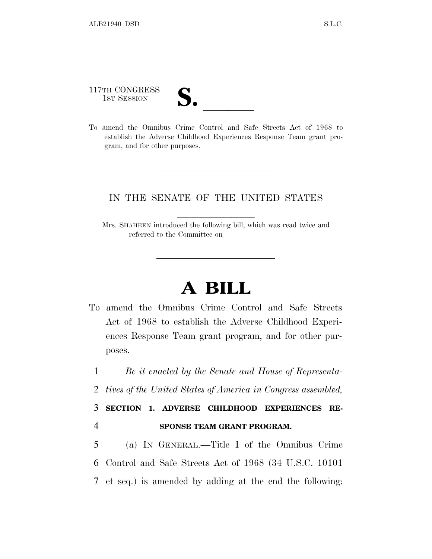117TH CONGRESS

117TH CONGRESS<br>
1ST SESSION<br>
To amend the Omnibus Crime Control and Safe Streets Act of 1968 to establish the Adverse Childhood Experiences Response Team grant program, and for other purposes.

## IN THE SENATE OF THE UNITED STATES

Mrs. SHAHEEN introduced the following bill; which was read twice and referred to the Committee on

## **A BILL**

To amend the Omnibus Crime Control and Safe Streets Act of 1968 to establish the Adverse Childhood Experiences Response Team grant program, and for other purposes.

1 *Be it enacted by the Senate and House of Representa-*

2 *tives of the United States of America in Congress assembled,*

3 **SECTION 1. ADVERSE CHILDHOOD EXPERIENCES RE-**4 **SPONSE TEAM GRANT PROGRAM.**

5 (a) I<sup>N</sup> GENERAL.—Title I of the Omnibus Crime 6 Control and Safe Streets Act of 1968 (34 U.S.C. 10101 7 et seq.) is amended by adding at the end the following: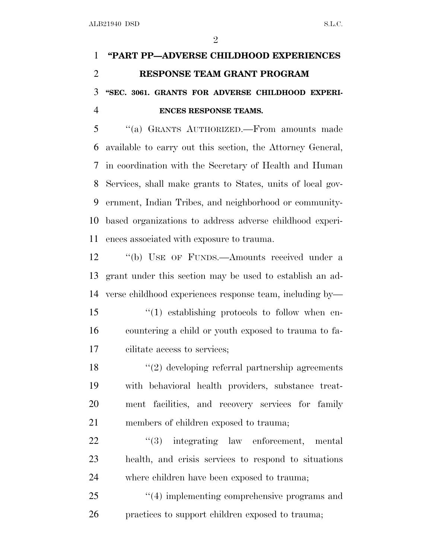$\mathfrak{D}$ 

## **''PART PP—ADVERSE CHILDHOOD EXPERIENCES RESPONSE TEAM GRANT PROGRAM ''SEC. 3061. GRANTS FOR ADVERSE CHILDHOOD EXPERI-ENCES RESPONSE TEAMS.**

 ''(a) GRANTS AUTHORIZED.—From amounts made available to carry out this section, the Attorney General, in coordination with the Secretary of Health and Human Services, shall make grants to States, units of local gov- ernment, Indian Tribes, and neighborhood or community- based organizations to address adverse childhood experi-ences associated with exposure to trauma.

 ''(b) USE OF FUNDS.—Amounts received under a grant under this section may be used to establish an ad- verse childhood experiences response team, including by— ''(1) establishing protocols to follow when en- countering a child or youth exposed to trauma to fa-cilitate access to services;

 ''(2) developing referral partnership agreements with behavioral health providers, substance treat- ment facilities, and recovery services for family members of children exposed to trauma;

22 "(3) integrating law enforcement, mental health, and crisis services to respond to situations where children have been exposed to trauma;

25  $\frac{1}{4}$  implementing comprehensive programs and practices to support children exposed to trauma;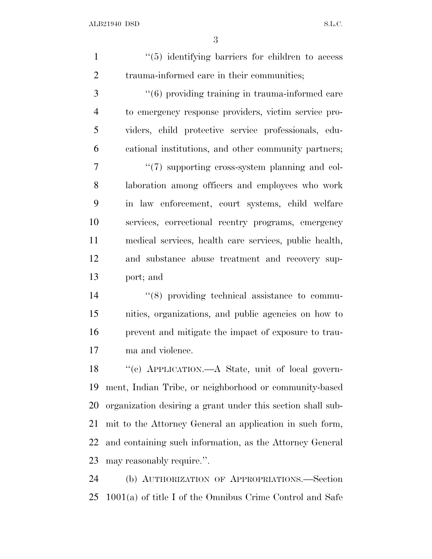1 ''(5) identifying barriers for children to access 2 trauma-informed care in their communities;

3 (6) providing training in trauma-informed care to emergency response providers, victim service pro- viders, child protective service professionals, edu- cational institutions, and other community partners;  $\frac{1}{7}$  (7) supporting cross-system planning and col- laboration among officers and employees who work in law enforcement, court systems, child welfare services, correctional reentry programs, emergency medical services, health care services, public health, and substance abuse treatment and recovery sup-port; and

 ''(8) providing technical assistance to commu- nities, organizations, and public agencies on how to prevent and mitigate the impact of exposure to trau-ma and violence.

 ''(c) APPLICATION.—A State, unit of local govern- ment, Indian Tribe, or neighborhood or community-based organization desiring a grant under this section shall sub- mit to the Attorney General an application in such form, and containing such information, as the Attorney General may reasonably require.''.

 (b) AUTHORIZATION OF APPROPRIATIONS.—Section 1001(a) of title I of the Omnibus Crime Control and Safe